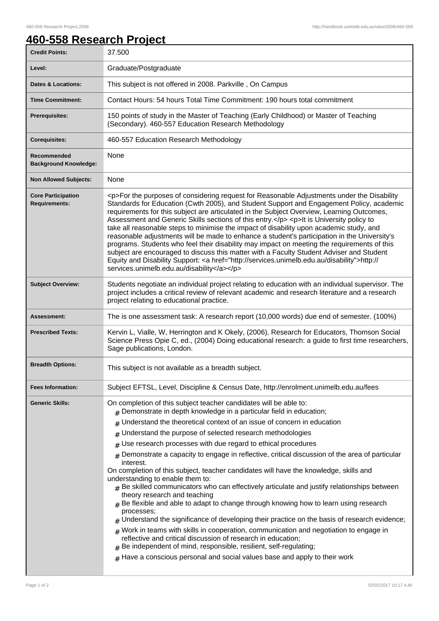## **460-558 Research Project**

| <b>Credit Points:</b>                             | 37.500                                                                                                                                                                                                                                                                                                                                                                                                                                                                                                                                                                                                                                                                                                                                                                                                                                                                                                                       |
|---------------------------------------------------|------------------------------------------------------------------------------------------------------------------------------------------------------------------------------------------------------------------------------------------------------------------------------------------------------------------------------------------------------------------------------------------------------------------------------------------------------------------------------------------------------------------------------------------------------------------------------------------------------------------------------------------------------------------------------------------------------------------------------------------------------------------------------------------------------------------------------------------------------------------------------------------------------------------------------|
| Level:                                            | Graduate/Postgraduate                                                                                                                                                                                                                                                                                                                                                                                                                                                                                                                                                                                                                                                                                                                                                                                                                                                                                                        |
| <b>Dates &amp; Locations:</b>                     | This subject is not offered in 2008. Parkville, On Campus                                                                                                                                                                                                                                                                                                                                                                                                                                                                                                                                                                                                                                                                                                                                                                                                                                                                    |
| <b>Time Commitment:</b>                           | Contact Hours: 54 hours Total Time Commitment: 190 hours total commitment                                                                                                                                                                                                                                                                                                                                                                                                                                                                                                                                                                                                                                                                                                                                                                                                                                                    |
| <b>Prerequisites:</b>                             | 150 points of study in the Master of Teaching (Early Childhood) or Master of Teaching<br>(Secondary). 460-557 Education Research Methodology                                                                                                                                                                                                                                                                                                                                                                                                                                                                                                                                                                                                                                                                                                                                                                                 |
| <b>Corequisites:</b>                              | 460-557 Education Research Methodology                                                                                                                                                                                                                                                                                                                                                                                                                                                                                                                                                                                                                                                                                                                                                                                                                                                                                       |
| Recommended<br><b>Background Knowledge:</b>       | None                                                                                                                                                                                                                                                                                                                                                                                                                                                                                                                                                                                                                                                                                                                                                                                                                                                                                                                         |
| <b>Non Allowed Subjects:</b>                      | None                                                                                                                                                                                                                                                                                                                                                                                                                                                                                                                                                                                                                                                                                                                                                                                                                                                                                                                         |
| <b>Core Participation</b><br><b>Requirements:</b> | <p>For the purposes of considering request for Reasonable Adjustments under the Disability<br/>Standards for Education (Cwth 2005), and Student Support and Engagement Policy, academic<br/>requirements for this subject are articulated in the Subject Overview, Learning Outcomes,<br/>Assessment and Generic Skills sections of this entry.</p> <p>It is University policy to<br/>take all reasonable steps to minimise the impact of disability upon academic study, and<br/>reasonable adjustments will be made to enhance a student's participation in the University's<br/>programs. Students who feel their disability may impact on meeting the requirements of this<br/>subject are encouraged to discuss this matter with a Faculty Student Adviser and Student<br/>Equity and Disability Support: &lt; a href="http://services.unimelb.edu.au/disability"&gt;http://<br/>services.unimelb.edu.au/disability</p> |
| <b>Subject Overview:</b>                          | Students negotiate an individual project relating to education with an individual supervisor. The<br>project includes a critical review of relevant academic and research literature and a research<br>project relating to educational practice.                                                                                                                                                                                                                                                                                                                                                                                                                                                                                                                                                                                                                                                                             |
|                                                   |                                                                                                                                                                                                                                                                                                                                                                                                                                                                                                                                                                                                                                                                                                                                                                                                                                                                                                                              |
| Assessment:                                       | The is one assessment task: A research report (10,000 words) due end of semester. (100%)                                                                                                                                                                                                                                                                                                                                                                                                                                                                                                                                                                                                                                                                                                                                                                                                                                     |
| <b>Prescribed Texts:</b>                          | Kervin L, Vialle, W, Herrington and K Okely, (2006), Research for Educators, Thomson Social<br>Science Press Opie C, ed., (2004) Doing educational research: a guide to first time researchers,<br>Sage publications, London.                                                                                                                                                                                                                                                                                                                                                                                                                                                                                                                                                                                                                                                                                                |
| <b>Breadth Options:</b>                           | This subject is not available as a breadth subject.                                                                                                                                                                                                                                                                                                                                                                                                                                                                                                                                                                                                                                                                                                                                                                                                                                                                          |
| <b>Fees Information:</b>                          | Subject EFTSL, Level, Discipline & Census Date, http://enrolment.unimelb.edu.au/fees                                                                                                                                                                                                                                                                                                                                                                                                                                                                                                                                                                                                                                                                                                                                                                                                                                         |
| <b>Generic Skills:</b>                            | On completion of this subject teacher candidates will be able to:<br>$#$ Demonstrate in depth knowledge in a particular field in education;                                                                                                                                                                                                                                                                                                                                                                                                                                                                                                                                                                                                                                                                                                                                                                                  |
|                                                   | Understand the theoretical context of an issue of concern in education<br>#                                                                                                                                                                                                                                                                                                                                                                                                                                                                                                                                                                                                                                                                                                                                                                                                                                                  |
|                                                   | Understand the purpose of selected research methodologies<br>#                                                                                                                                                                                                                                                                                                                                                                                                                                                                                                                                                                                                                                                                                                                                                                                                                                                               |
|                                                   | Use research processes with due regard to ethical procedures<br>#                                                                                                                                                                                                                                                                                                                                                                                                                                                                                                                                                                                                                                                                                                                                                                                                                                                            |
|                                                   | Demonstrate a capacity to engage in reflective, critical discussion of the area of particular<br>$\pm$<br>interest.<br>On completion of this subject, teacher candidates will have the knowledge, skills and<br>understanding to enable them to:<br>$#$ Be skilled communicators who can effectively articulate and justify relationships between<br>theory research and teaching<br>$#$ Be flexible and able to adapt to change through knowing how to learn using research<br>processes;<br>Understand the significance of developing their practice on the basis of research evidence;<br>$_{\#}$ Work in teams with skills in cooperation, communication and negotiation to engage in<br>reflective and critical discussion of research in education;<br>$#$ Be independent of mind, responsible, resilient, self-regulating;<br>$#$ Have a conscious personal and social values base and apply to their work            |